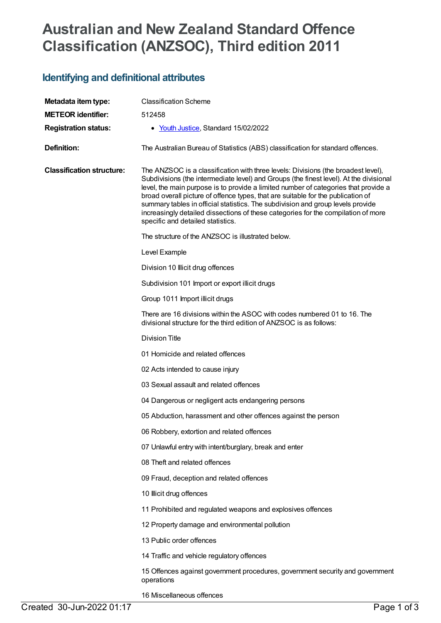## **Australian and New Zealand Standard Offence Classification (ANZSOC), Third edition 2011**

## **Identifying and definitional attributes**

| Metadata item type:              | <b>Classification Scheme</b>                                                                                                                                                                                                                                                                                                                                                                                                                                                                                                                                        |
|----------------------------------|---------------------------------------------------------------------------------------------------------------------------------------------------------------------------------------------------------------------------------------------------------------------------------------------------------------------------------------------------------------------------------------------------------------------------------------------------------------------------------------------------------------------------------------------------------------------|
| <b>METEOR identifier:</b>        | 512458                                                                                                                                                                                                                                                                                                                                                                                                                                                                                                                                                              |
| <b>Registration status:</b>      | • Youth Justice, Standard 15/02/2022                                                                                                                                                                                                                                                                                                                                                                                                                                                                                                                                |
| <b>Definition:</b>               | The Australian Bureau of Statistics (ABS) classification for standard offences.                                                                                                                                                                                                                                                                                                                                                                                                                                                                                     |
| <b>Classification structure:</b> | The ANZSOC is a classification with three levels: Divisions (the broadest level),<br>Subdivisions (the intermediate level) and Groups (the finest level). At the divisional<br>level, the main purpose is to provide a limited number of categories that provide a<br>broad overall picture of offence types, that are suitable for the publication of<br>summary tables in official statistics. The subdivision and group levels provide<br>increasingly detailed dissections of these categories for the compilation of more<br>specific and detailed statistics. |
|                                  | The structure of the ANZSOC is illustrated below.                                                                                                                                                                                                                                                                                                                                                                                                                                                                                                                   |
|                                  | Level Example                                                                                                                                                                                                                                                                                                                                                                                                                                                                                                                                                       |
|                                  | Division 10 Illicit drug offences                                                                                                                                                                                                                                                                                                                                                                                                                                                                                                                                   |
|                                  | Subdivision 101 Import or export illicit drugs                                                                                                                                                                                                                                                                                                                                                                                                                                                                                                                      |
|                                  | Group 1011 Import illicit drugs                                                                                                                                                                                                                                                                                                                                                                                                                                                                                                                                     |
|                                  | There are 16 divisions within the ASOC with codes numbered 01 to 16. The<br>divisional structure for the third edition of ANZSOC is as follows:                                                                                                                                                                                                                                                                                                                                                                                                                     |
|                                  | <b>Division Title</b>                                                                                                                                                                                                                                                                                                                                                                                                                                                                                                                                               |
|                                  | 01 Homicide and related offences                                                                                                                                                                                                                                                                                                                                                                                                                                                                                                                                    |
|                                  | 02 Acts intended to cause injury                                                                                                                                                                                                                                                                                                                                                                                                                                                                                                                                    |
|                                  | 03 Sexual assault and related offences                                                                                                                                                                                                                                                                                                                                                                                                                                                                                                                              |
|                                  | 04 Dangerous or negligent acts endangering persons                                                                                                                                                                                                                                                                                                                                                                                                                                                                                                                  |
|                                  | 05 Abduction, harassment and other offences against the person                                                                                                                                                                                                                                                                                                                                                                                                                                                                                                      |
|                                  | 06 Robbery, extortion and related offences                                                                                                                                                                                                                                                                                                                                                                                                                                                                                                                          |
|                                  | 07 Unlawful entry with intent/burglary, break and enter                                                                                                                                                                                                                                                                                                                                                                                                                                                                                                             |
|                                  | 08 Theft and related offences                                                                                                                                                                                                                                                                                                                                                                                                                                                                                                                                       |
|                                  | 09 Fraud, deception and related offences                                                                                                                                                                                                                                                                                                                                                                                                                                                                                                                            |
|                                  | 10 Illicit drug offences                                                                                                                                                                                                                                                                                                                                                                                                                                                                                                                                            |
|                                  | 11 Prohibited and regulated weapons and explosives offences                                                                                                                                                                                                                                                                                                                                                                                                                                                                                                         |
|                                  | 12 Property damage and environmental pollution                                                                                                                                                                                                                                                                                                                                                                                                                                                                                                                      |
|                                  | 13 Public order offences                                                                                                                                                                                                                                                                                                                                                                                                                                                                                                                                            |
|                                  | 14 Traffic and vehicle regulatory offences                                                                                                                                                                                                                                                                                                                                                                                                                                                                                                                          |
|                                  | 15 Offences against government procedures, government security and government<br>operations                                                                                                                                                                                                                                                                                                                                                                                                                                                                         |